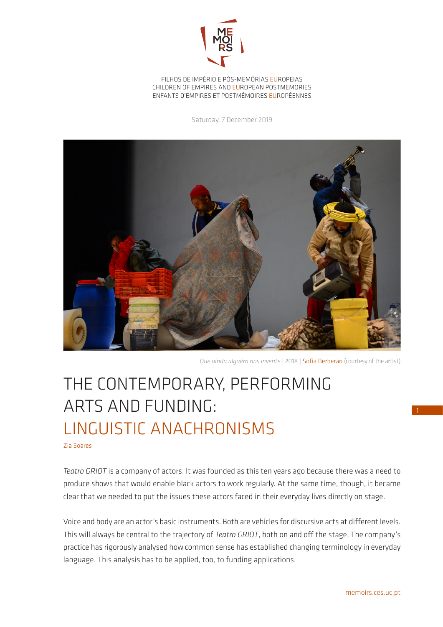

FILHOS DE IMPÉRIO E PÓS-MEMÓRIAS EUROPEIAS CHILDREN OF EMPIRES AND EUROPEAN POSTMEMORIES ENFANTS D'EMPIRES ET POSTMÉMOIRES EUROPÉENNES

Saturday, 7 December 2019



*Que ainda alguém nos invente* | 2018 | Sofia Berberan (courtesy of the artist)

## THE CONTEMPORARY, PERFORMING ARTS AND FUNDING: LINGUISTIC ANACHRONISMS

Zia Soares

*Teatro GRIOT* is a company of actors. It was founded as this ten years ago because there was a need to produce shows that would enable black actors to work regularly. At the same time, though, it became clear that we needed to put the issues these actors faced in their everyday lives directly on stage.

Voice and body are an actor's basic instruments. Both are vehicles for discursive acts at different levels. This will always be central to the trajectory of *Teatro GRIOT*, both on and off the stage. The company's practice has rigorously analysed how common sense has established changing terminology in everyday language. This analysis has to be applied, too, to funding applications.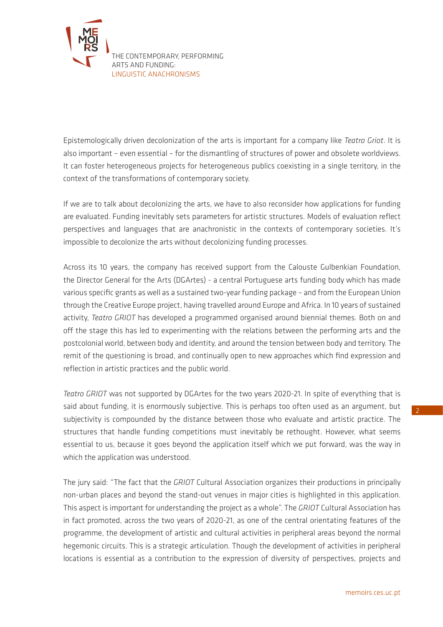

Epistemologically driven decolonization of the arts is important for a company like *Teatro Griot*. It is also important – even essential – for the dismantling of structures of power and obsolete worldviews. It can foster heterogeneous projects for heterogeneous publics coexisting in a single territory, in the context of the transformations of contemporary society.

If we are to talk about decolonizing the arts, we have to also reconsider how applications for funding are evaluated. Funding inevitably sets parameters for artistic structures. Models of evaluation reflect perspectives and languages that are anachronistic in the contexts of contemporary societies. It's impossible to decolonize the arts without decolonizing funding processes.

Across its 10 years, the company has received support from the Calouste Gulbenkian Foundation, the Director General for the Arts (DGArtes) - a central Portuguese arts funding body which has made various specific grants as well as a sustained two-year funding package – and from the European Union through the Creative Europe project, having travelled around Europe and Africa. In 10 years of sustained activity, *Teatro GRIOT* has developed a programmed organised around biennial themes. Both on and off the stage this has led to experimenting with the relations between the performing arts and the postcolonial world, between body and identity, and around the tension between body and territory. The remit of the questioning is broad, and continually open to new approaches which find expression and reflection in artistic practices and the public world.

*Teatro GRIOT* was not supported by DGArtes for the two years 2020-21. In spite of everything that is said about funding, it is enormously subjective. This is perhaps too often used as an argument, but subjectivity is compounded by the distance between those who evaluate and artistic practice. The structures that handle funding competitions must inevitably be rethought. However, what seems essential to us, because it goes beyond the application itself which we put forward, was the way in which the application was understood.

The jury said: "The fact that the *GRIOT* Cultural Association organizes their productions in principally non-urban places and beyond the stand-out venues in major cities is highlighted in this application. This aspect is important for understanding the project as a whole". The *GRIOT* Cultural Association has in fact promoted, across the two years of 2020-21, as one of the central orientating features of the programme, the development of artistic and cultural activities in peripheral areas beyond the normal hegemonic circuits. This is a strategic articulation. Though the development of activities in peripheral locations is essential as a contribution to the expression of diversity of perspectives, projects and